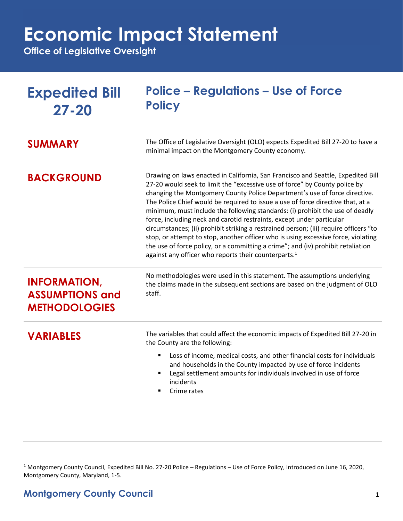## **Economic Impact Statement**

**Office of Legislative Oversight**

| <b>Expedited Bill</b><br>$27 - 20$                                    | <b>Police – Regulations – Use of Force</b><br><b>Policy</b>                                                                                                                                                                                                                                                                                                                                                                                                                                                                                                                                                                                                                                                                                                                                                                     |
|-----------------------------------------------------------------------|---------------------------------------------------------------------------------------------------------------------------------------------------------------------------------------------------------------------------------------------------------------------------------------------------------------------------------------------------------------------------------------------------------------------------------------------------------------------------------------------------------------------------------------------------------------------------------------------------------------------------------------------------------------------------------------------------------------------------------------------------------------------------------------------------------------------------------|
| <b>SUMMARY</b>                                                        | The Office of Legislative Oversight (OLO) expects Expedited Bill 27-20 to have a<br>minimal impact on the Montgomery County economy.                                                                                                                                                                                                                                                                                                                                                                                                                                                                                                                                                                                                                                                                                            |
| <b>BACKGROUND</b>                                                     | Drawing on laws enacted in California, San Francisco and Seattle, Expedited Bill<br>27-20 would seek to limit the "excessive use of force" by County police by<br>changing the Montgomery County Police Department's use of force directive.<br>The Police Chief would be required to issue a use of force directive that, at a<br>minimum, must include the following standards: (i) prohibit the use of deadly<br>force, including neck and carotid restraints, except under particular<br>circumstances; (ii) prohibit striking a restrained person; (iii) require officers "to<br>stop, or attempt to stop, another officer who is using excessive force, violating<br>the use of force policy, or a committing a crime"; and (iv) prohibit retaliation<br>against any officer who reports their counterparts. <sup>1</sup> |
| <b>INFORMATION,</b><br><b>ASSUMPTIONS and</b><br><b>METHODOLOGIES</b> | No methodologies were used in this statement. The assumptions underlying<br>the claims made in the subsequent sections are based on the judgment of OLO<br>staff.                                                                                                                                                                                                                                                                                                                                                                                                                                                                                                                                                                                                                                                               |
| <b>VARIABLES</b>                                                      | The variables that could affect the economic impacts of Expedited Bill 27-20 in<br>the County are the following:<br>Loss of income, medical costs, and other financial costs for individuals<br>٠<br>and households in the County impacted by use of force incidents<br>Legal settlement amounts for individuals involved in use of force<br>incidents                                                                                                                                                                                                                                                                                                                                                                                                                                                                          |

■ Crime rates

<sup>1</sup> Montgomery County Council, Expedited Bill No. 27-20 Police – Regulations – Use of Force Policy, Introduced on June 16, 2020, Montgomery County, Maryland, 1-5.

## **Montgomery County Council** 1